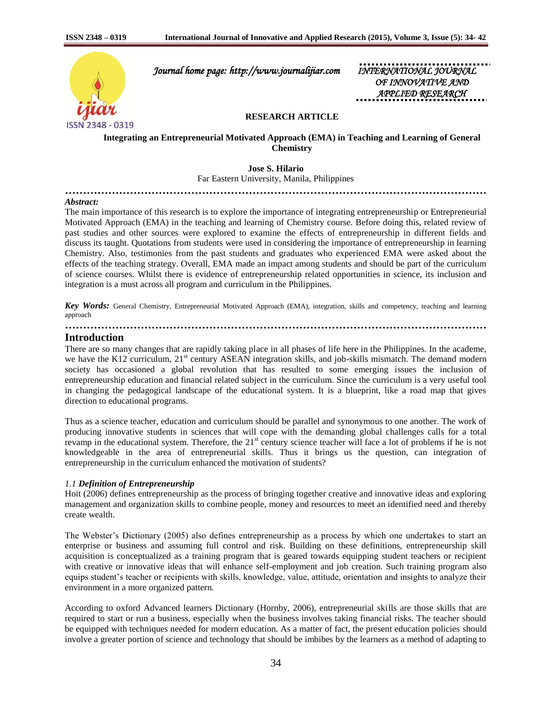

 *Journal home page: http://www.journalijiar.com INTERNATIONAL JOURNAL* 

*OF INNOVATIVE APPLIED RESEARCH* 

## **RESEARCH ARTICLE**

**Integrating an Entrepreneurial Motivated Approach (EMA) in Teaching and Learning of General Chemistry**

**Jose S. Hilario**  Far Eastern University, Manila, Philippines **………………………………………………………………………………………………………**

#### *Abstract:*

The main importance of this research is to explore the importance of integrating entrepreneurship or Entrepreneurial Motivated Approach (EMA) in the teaching and learning of Chemistry course. Before doing this, related review of past studies and other sources were explored to examine the effects of entrepreneurship in different fields and discuss its taught. Quotations from students were used in considering the importance of entrepreneurship in learning Chemistry. Also, testimonies from the past students and graduates who experienced EMA were asked about the effects of the teaching strategy. Overall, EMA made an impact among students and should be part of the curriculum of science courses. Whilst there is evidence of entrepreneurship related opportunities in science, its inclusion and integration is a must across all program and curriculum in the Philippines.

*Key Words:* General Chemistry, Entrepreneurial Motivated Approach (EMA), integration, skills and competency, teaching and learning approach

**………………………………………………………………………………………………………**

# **Introduction**

There are so many changes that are rapidly taking place in all phases of life here in the Philippines. In the academe, we have the K12 curriculum,  $21<sup>st</sup>$  century ASEAN integration skills, and job-skills mismatch. The demand modern society has occasioned a global revolution that has resulted to some emerging issues the inclusion of entrepreneurship education and financial related subject in the curriculum. Since the curriculum is a very useful tool in changing the pedagogical landscape of the educational system. It is a blueprint, like a road map that gives direction to educational programs.

Thus as a science teacher, education and curriculum should be parallel and synonymous to one another. The work of producing innovative students in sciences that will cope with the demanding global challenges calls for a total revamp in the educational system. Therefore, the  $21<sup>st</sup>$  century science teacher will face a lot of problems if he is not knowledgeable in the area of entrepreneurial skills. Thus it brings us the question, can integration of entrepreneurship in the curriculum enhanced the motivation of students?

#### *1.1 Definition of Entrepreneurship*

Hoit (2006) defines entrepreneurship as the process of bringing together creative and innovative ideas and exploring management and organization skills to combine people, money and resources to meet an identified need and thereby create wealth.

The Webster's Dictionary (2005) also defines entrepreneurship as a process by which one undertakes to start an enterprise or business and assuming full control and risk. Building on these definitions, entrepreneurship skill acquisition is conceptualized as a training program that is geared towards equipping student teachers or recipient with creative or innovative ideas that will enhance self-employment and job creation. Such training program also equips student's teacher or recipients with skills, knowledge, value, attitude, orientation and insights to analyze their environment in a more organized pattern.

According to oxford Advanced learners Dictionary (Hornby, 2006), entrepreneurial skills are those skills that are required to start or run a business, especially when the business involves taking financial risks. The teacher should be equipped with techniques needed for modern education. As a matter of fact, the present education policies should involve a greater portion of science and technology that should be imbibes by the learners as a method of adapting to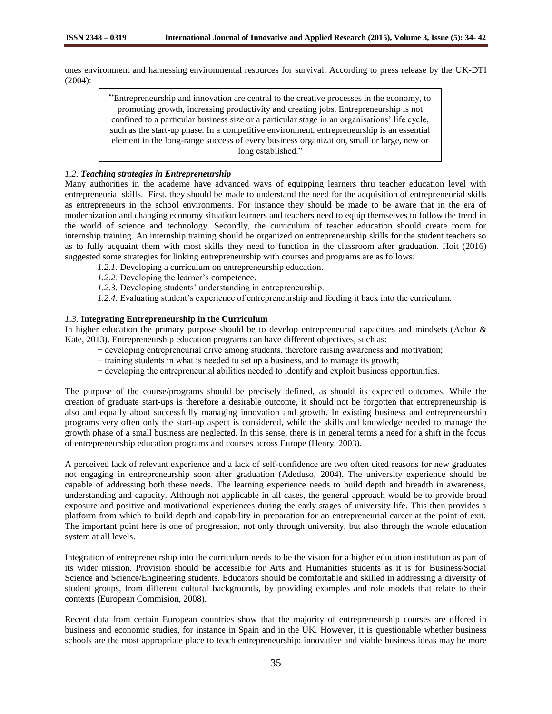ones environment and harnessing environmental resources for survival. According to press release by the UK-DTI (2004):

> "Entrepreneurship and innovation are central to the creative processes in the economy, to promoting growth, increasing productivity and creating jobs. Entrepreneurship is not confined to a particular business size or a particular stage in an organisations' life cycle, such as the start-up phase. In a competitive environment, entrepreneurship is an essential element in the long-range success of every business organization, small or large, new or long established."

### *1.2. Teaching strategies in Entrepreneurship*

Many authorities in the academe have advanced ways of equipping learners thru teacher education level with entrepreneurial skills. First, they should be made to understand the need for the acquisition of entrepreneurial skills as entrepreneurs in the school environments. For instance they should be made to be aware that in the era of modernization and changing economy situation learners and teachers need to equip themselves to follow the trend in the world of science and technology. Secondly, the curriculum of teacher education should create room for internship training. An internship training should be organized on entrepreneurship skills for the student teachers so as to fully acquaint them with most skills they need to function in the classroom after graduation. Hoit (2016) suggested some strategies for linking entrepreneurship with courses and programs are as follows:

- *1.2.1.* Developing a curriculum on entrepreneurship education.
- *1.2.2*. Developing the learner's competence.
- *1.2.3.* Developing students' understanding in entrepreneurship.
- *1.2.4.* Evaluating student's experience of entrepreneurship and feeding it back into the curriculum.

#### *1.3.* **Integrating Entrepreneurship in the Curriculum**

In higher education the primary purpose should be to develop entrepreneurial capacities and mindsets (Achor & Kate, 2013). Entrepreneurship education programs can have different objectives, such as:

- − developing entrepreneurial drive among students, therefore raising awareness and motivation;
- − training students in what is needed to set up a business, and to manage its growth;
- − developing the entrepreneurial abilities needed to identify and exploit business opportunities.

The purpose of the course/programs should be precisely defined, as should its expected outcomes. While the creation of graduate start-ups is therefore a desirable outcome, it should not be forgotten that entrepreneurship is also and equally about successfully managing innovation and growth. In existing business and entrepreneurship programs very often only the start-up aspect is considered, while the skills and knowledge needed to manage the growth phase of a small business are neglected. In this sense, there is in general terms a need for a shift in the focus of entrepreneurship education programs and courses across Europe (Henry, 2003).

A perceived lack of relevant experience and a lack of self-confidence are two often cited reasons for new graduates not engaging in entrepreneurship soon after graduation (Adeduso, 2004). The university experience should be capable of addressing both these needs. The learning experience needs to build depth and breadth in awareness, understanding and capacity. Although not applicable in all cases, the general approach would be to provide broad exposure and positive and motivational experiences during the early stages of university life. This then provides a platform from which to build depth and capability in preparation for an entrepreneurial career at the point of exit. The important point here is one of progression, not only through university, but also through the whole education system at all levels.

Integration of entrepreneurship into the curriculum needs to be the vision for a higher education institution as part of its wider mission. Provision should be accessible for Arts and Humanities students as it is for Business/Social Science and Science/Engineering students. Educators should be comfortable and skilled in addressing a diversity of student groups, from different cultural backgrounds, by providing examples and role models that relate to their contexts (European Commision, 2008).

Recent data from certain European countries show that the majority of entrepreneurship courses are offered in business and economic studies, for instance in Spain and in the UK. However, it is questionable whether business schools are the most appropriate place to teach entrepreneurship: innovative and viable business ideas may be more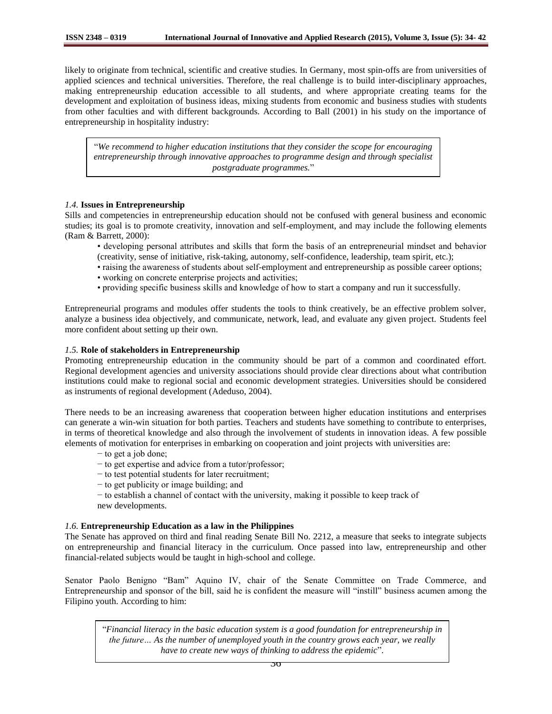likely to originate from technical, scientific and creative studies. In Germany, most spin-offs are from universities of applied sciences and technical universities. Therefore, the real challenge is to build inter-disciplinary approaches, making entrepreneurship education accessible to all students, and where appropriate creating teams for the development and exploitation of business ideas, mixing students from economic and business studies with students from other faculties and with different backgrounds. According to Ball (2001) in his study on the importance of entrepreneurship in hospitality industry:

"*We recommend to higher education institutions that they consider the scope for encouraging entrepreneurship through innovative approaches to programme design and through specialist postgraduate programmes.*"

#### *1.4.* **Issues in Entrepreneurship**

Sills and competencies in entrepreneurship education should not be confused with general business and economic studies; its goal is to promote creativity, innovation and self-employment, and may include the following elements (Ram & Barrett, 2000):

- developing personal attributes and skills that form the basis of an entrepreneurial mindset and behavior (creativity, sense of initiative, risk-taking, autonomy, self-confidence, leadership, team spirit, etc.);
- raising the awareness of students about self-employment and entrepreneurship as possible career options;
- working on concrete enterprise projects and activities;
- providing specific business skills and knowledge of how to start a company and run it successfully.

Entrepreneurial programs and modules offer students the tools to think creatively, be an effective problem solver, analyze a business idea objectively, and communicate, network, lead, and evaluate any given project. Students feel more confident about setting up their own.

#### *1.5.* **Role of stakeholders in Entrepreneurship**

Promoting entrepreneurship education in the community should be part of a common and coordinated effort. Regional development agencies and university associations should provide clear directions about what contribution institutions could make to regional social and economic development strategies. Universities should be considered as instruments of regional development (Adeduso, 2004).

There needs to be an increasing awareness that cooperation between higher education institutions and enterprises can generate a win-win situation for both parties. Teachers and students have something to contribute to enterprises, in terms of theoretical knowledge and also through the involvement of students in innovation ideas. A few possible elements of motivation for enterprises in embarking on cooperation and joint projects with universities are:

- − to get a job done;
- − to get expertise and advice from a tutor/professor;
- − to test potential students for later recruitment;
- − to get publicity or image building; and
- − to establish a channel of contact with the university, making it possible to keep track of new developments.

## *1.6.* **Entrepreneurship Education as a law in the Philippines**

The Senate has approved on third and final reading Senate Bill No. 2212, a measure that seeks to integrate subjects on entrepreneurship and financial literacy in the curriculum. Once passed into law, entrepreneurship and other financial-related subjects would be taught in high-school and college.

Senator Paolo Benigno "Bam" Aquino IV, chair of the Senate Committee on Trade Commerce, and Entrepreneurship and sponsor of the bill, said he is confident the measure will "instill" business acumen among the Filipino youth. According to him:

"*Financial literacy in the basic education system is a good foundation for entrepreneurship in the future… As the number of unemployed youth in the country grows each year, we really have to create new ways of thinking to address the epidemic*".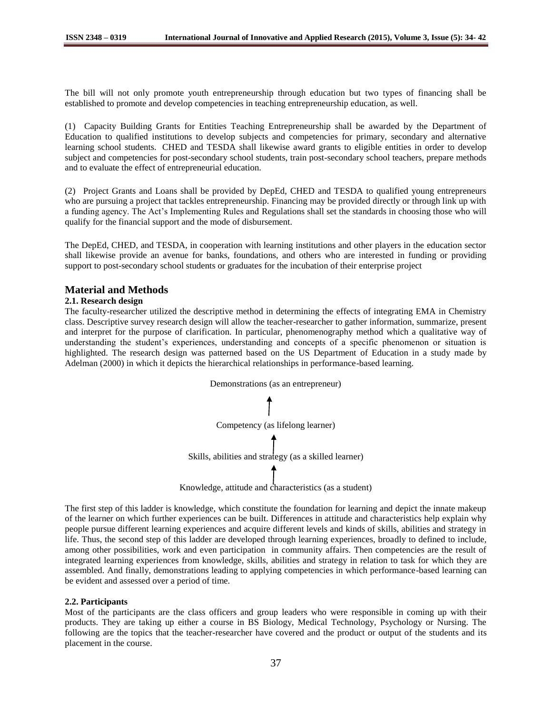The bill will not only promote youth entrepreneurship through education but two types of financing shall be established to promote and develop competencies in teaching entrepreneurship education, as well.

(1) Capacity Building Grants for Entities Teaching Entrepreneurship shall be awarded by the Department of Education to qualified institutions to develop subjects and competencies for primary, secondary and alternative learning school students. CHED and TESDA shall likewise award grants to eligible entities in order to develop subject and competencies for post-secondary school students, train post-secondary school teachers, prepare methods and to evaluate the effect of entrepreneurial education.

(2) Project Grants and Loans shall be provided by DepEd, CHED and TESDA to qualified young entrepreneurs who are pursuing a project that tackles entrepreneurship. Financing may be provided directly or through link up with a funding agency. The Act's Implementing Rules and Regulations shall set the standards in choosing those who will qualify for the financial support and the mode of disbursement.

The DepEd, CHED, and TESDA, in cooperation with learning institutions and other players in the education sector shall likewise provide an avenue for banks, foundations, and others who are interested in funding or providing support to post-secondary school students or graduates for the incubation of their enterprise project

# **Material and Methods**

## **2.1. Research design**

The faculty-researcher utilized the descriptive method in determining the effects of integrating EMA in Chemistry class. Descriptive survey research design will allow the teacher-researcher to gather information, summarize, present and interpret for the purpose of clarification. In particular, phenomenography method which a qualitative way of understanding the student's experiences, understanding and concepts of a specific phenomenon or situation is highlighted. The research design was patterned based on the US Department of Education in a study made by Adelman (2000) in which it depicts the hierarchical relationships in performance-based learning.



Knowledge, attitude and characteristics (as a student)

The first step of this ladder is knowledge, which constitute the foundation for learning and depict the innate makeup of the learner on which further experiences can be built. Differences in attitude and characteristics help explain why people pursue different learning experiences and acquire different levels and kinds of skills, abilities and strategy in life. Thus, the second step of this ladder are developed through learning experiences, broadly to defined to include, among other possibilities, work and even participation in community affairs. Then competencies are the result of integrated learning experiences from knowledge, skills, abilities and strategy in relation to task for which they are assembled. And finally, demonstrations leading to applying competencies in which performance-based learning can be evident and assessed over a period of time.

## **2.2. Participants**

Most of the participants are the class officers and group leaders who were responsible in coming up with their products. They are taking up either a course in BS Biology, Medical Technology, Psychology or Nursing. The following are the topics that the teacher-researcher have covered and the product or output of the students and its placement in the course.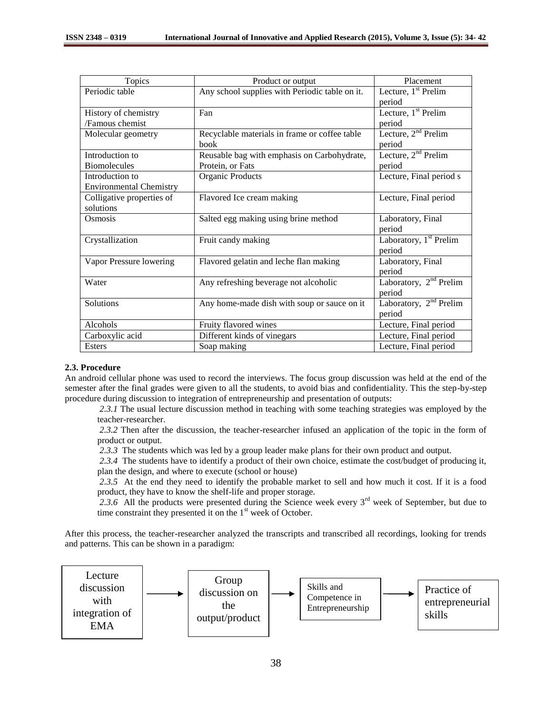| Topics                         | Product or output                              | Placement                          |
|--------------------------------|------------------------------------------------|------------------------------------|
| Periodic table                 | Any school supplies with Periodic table on it. | Lecture, $1st$ Prelim              |
|                                |                                                | period                             |
| History of chemistry           | Fan                                            | Lecture, $1st$ Prelim              |
| /Famous chemist                |                                                | period                             |
| Molecular geometry             | Recyclable materials in frame or coffee table  | Lecture, $2nd$ Prelim              |
|                                | book                                           | period                             |
| Introduction to                | Reusable bag with emphasis on Carbohydrate,    | Lecture, $2nd$ Prelim              |
| <b>Biomolecules</b>            | Protein, or Fats                               | period                             |
| Introduction to                | Organic Products                               | Lecture, Final period s            |
| <b>Environmental Chemistry</b> |                                                |                                    |
| Colligative properties of      | Flavored Ice cream making                      | Lecture, Final period              |
| solutions                      |                                                |                                    |
| Osmosis                        | Salted egg making using brine method           | Laboratory, Final                  |
|                                |                                                | period                             |
| Crystallization                | Fruit candy making                             | Laboratory, 1 <sup>st</sup> Prelim |
|                                |                                                | period                             |
| Vapor Pressure lowering        | Flavored gelatin and leche flan making         | Laboratory, Final                  |
|                                |                                                | period                             |
| Water                          | Any refreshing beverage not alcoholic          | Laboratory, $2nd$ Prelim           |
|                                |                                                | period                             |
| Solutions                      | Any home-made dish with soup or sauce on it    | Laboratory, $2nd$ Prelim           |
|                                |                                                | period                             |
| Alcohols                       | Fruity flavored wines                          | Lecture, Final period              |
| Carboxylic acid                | Different kinds of vinegars                    | Lecture, Final period              |
| Esters                         | Soap making                                    | Lecture, Final period              |

## **2.3. Procedure**

An android cellular phone was used to record the interviews. The focus group discussion was held at the end of the semester after the final grades were given to all the students, to avoid bias and confidentiality. This the step-by-step procedure during discussion to integration of entrepreneurship and presentation of outputs:

*2.3.1* The usual lecture discussion method in teaching with some teaching strategies was employed by the teacher-researcher.

*2.3.2* Then after the discussion, the teacher-researcher infused an application of the topic in the form of product or output.

*2.3.3* The students which was led by a group leader make plans for their own product and output.

*2.3.4* The students have to identify a product of their own choice, estimate the cost/budget of producing it, plan the design, and where to execute (school or house)

*2.3.5* At the end they need to identify the probable market to sell and how much it cost. If it is a food product, they have to know the shelf-life and proper storage.

2.3.6 All the products were presented during the Science week every  $3<sup>rd</sup>$  week of September, but due to time constraint they presented it on the  $1<sup>st</sup>$  week of October.

After this process, the teacher-researcher analyzed the transcripts and transcribed all recordings, looking for trends and patterns. This can be shown in a paradigm:

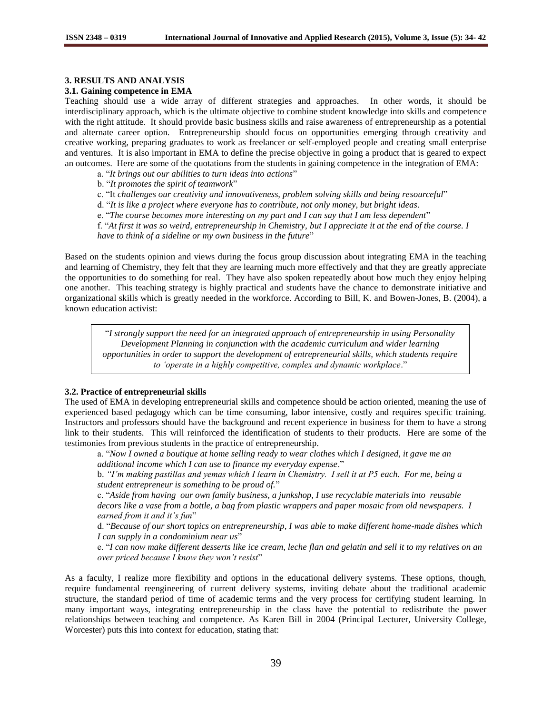## **3. RESULTS AND ANALYSIS**

#### **3.1. Gaining competence in EMA**

Teaching should use a wide array of different strategies and approaches. In other words, it should be interdisciplinary approach, which is the ultimate objective to combine student knowledge into skills and competence with the right attitude. It should provide basic business skills and raise awareness of entrepreneurship as a potential and alternate career option. Entrepreneurship should focus on opportunities emerging through creativity and creative working, preparing graduates to work as freelancer or self-employed people and creating small enterprise and ventures. It is also important in EMA to define the precise objective in going a product that is geared to expect an outcomes. Here are some of the quotations from the students in gaining competence in the integration of EMA:

a. "*It brings out our abilities to turn ideas into actions*"

b. "*It promotes the spirit of teamwork*"

c. "It *challenges our creativity and innovativeness, problem solving skills and being resourceful*"

d. "*It is like a project where everyone has to contribute, not only money, but bright ideas*.

e. "*The course becomes more interesting on my part and I can say that I am less dependent*"

f. "*At first it was so weird, entrepreneurship in Chemistry, but I appreciate it at the end of the course. I* 

*have to think of a sideline or my own business in the future*"

Based on the students opinion and views during the focus group discussion about integrating EMA in the teaching and learning of Chemistry, they felt that they are learning much more effectively and that they are greatly appreciate the opportunities to do something for real. They have also spoken repeatedly about how much they enjoy helping one another. This teaching strategy is highly practical and students have the chance to demonstrate initiative and organizational skills which is greatly needed in the workforce. According to Bill, K. and Bowen-Jones, B. (2004), a known education activist:

"*I strongly support the need for an integrated approach of entrepreneurship in using Personality Development Planning in conjunction with the academic curriculum and wider learning opportunities in order to support the development of entrepreneurial skills, which students require to 'operate in a highly competitive, complex and dynamic workplace*."

## **3.2. Practice of entrepreneurial skills**

The used of EMA in developing entrepreneurial skills and competence should be action oriented, meaning the use of experienced based pedagogy which can be time consuming, labor intensive, costly and requires specific training. Instructors and professors should have the background and recent experience in business for them to have a strong link to their students. This will reinforced the identification of students to their products. Here are some of the testimonies from previous students in the practice of entrepreneurship.

a. "*Now I owned a boutique at home selling ready to wear clothes which I designed, it gave me an additional income which I can use to finance my everyday expense*."

b. *"I'm making pastillas and yemas which I learn in Chemistry. I sell it at P5 each. For me, being a student entrepreneur is something to be proud of.*"

c. "*Aside from having our own family business, a junkshop, I use recyclable materials into reusable decors like a vase from a bottle, a bag from plastic wrappers and paper mosaic from old newspapers. I earned from it and it's fun*"

d. "*Because of our short topics on entrepreneurship, I was able to make different home-made dishes which I can supply in a condominium near us*"

e. "*I can now make different desserts like ice cream, leche flan and gelatin and sell it to my relatives on an over priced because I know they won't resist*"

As a faculty, I realize more flexibility and options in the educational delivery systems. These options, though, require fundamental reengineering of current delivery systems, inviting debate about the traditional academic structure, the standard period of time of academic terms and the very process for certifying student learning. In many important ways, integrating entrepreneurship in the class have the potential to redistribute the power relationships between teaching and competence. As Karen Bill in 2004 (Principal Lecturer, University College, Worcester) puts this into context for education, stating that: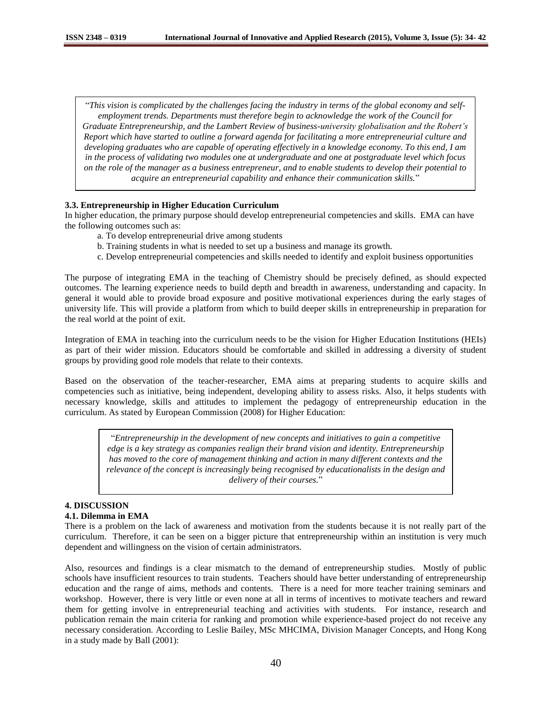"*This vision is complicated by the challenges facing the industry in terms of the global economy and selfemployment trends. Departments must therefore begin to acknowledge the work of the Council for Graduate Entrepreneurship, and the Lambert Review of business-university globalisation and the Robert's Report which have started to outline a forward agenda for facilitating a more entrepreneurial culture and developing graduates who are capable of operating effectively in a knowledge economy. To this end, I am in the process of validating two modules one at undergraduate and one at postgraduate level which focus on the role of the manager as a business entrepreneur, and to enable students to develop their potential to acquire an entrepreneurial capability and enhance their communication skills.*"

## **3.3. Entrepreneurship in Higher Education Curriculum**

In higher education, the primary purpose should develop entrepreneurial competencies and skills. EMA can have the following outcomes such as:

- a. To develop entrepreneurial drive among students
- b. Training students in what is needed to set up a business and manage its growth.
- c. Develop entrepreneurial competencies and skills needed to identify and exploit business opportunities

The purpose of integrating EMA in the teaching of Chemistry should be precisely defined, as should expected outcomes. The learning experience needs to build depth and breadth in awareness, understanding and capacity. In general it would able to provide broad exposure and positive motivational experiences during the early stages of university life. This will provide a platform from which to build deeper skills in entrepreneurship in preparation for the real world at the point of exit.

Integration of EMA in teaching into the curriculum needs to be the vision for Higher Education Institutions (HEIs) as part of their wider mission. Educators should be comfortable and skilled in addressing a diversity of student groups by providing good role models that relate to their contexts.

Based on the observation of the teacher-researcher, EMA aims at preparing students to acquire skills and competencies such as initiative, being independent, developing ability to assess risks. Also, it helps students with necessary knowledge, skills and attitudes to implement the pedagogy of entrepreneurship education in the curriculum. As stated by European Commission (2008) for Higher Education:

> "*Entrepreneurship in the development of new concepts and initiatives to gain a competitive edge is a key strategy as companies realign their brand vision and identity. Entrepreneurship has moved to the core of management thinking and action in many different contexts and the relevance of the concept is increasingly being recognised by educationalists in the design and delivery of their courses.*"

# **4. DISCUSSION**

# **4.1. Dilemma in EMA**

There is a problem on the lack of awareness and motivation from the students because it is not really part of the curriculum. Therefore, it can be seen on a bigger picture that entrepreneurship within an institution is very much dependent and willingness on the vision of certain administrators.

Also, resources and findings is a clear mismatch to the demand of entrepreneurship studies. Mostly of public schools have insufficient resources to train students. Teachers should have better understanding of entrepreneurship education and the range of aims, methods and contents. There is a need for more teacher training seminars and workshop. However, there is very little or even none at all in terms of incentives to motivate teachers and reward them for getting involve in entrepreneurial teaching and activities with students. For instance, research and publication remain the main criteria for ranking and promotion while experience-based project do not receive any necessary consideration. According to Leslie Bailey, MSc MHCIMA, Division Manager Concepts, and Hong Kong in a study made by Ball (2001):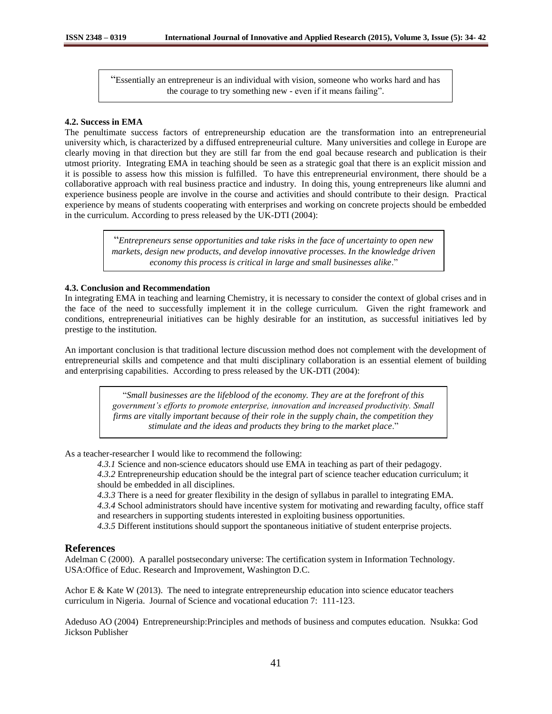"Essentially an entrepreneur is an individual with vision, someone who works hard and has the courage to try something new - even if it means failing".

### **4.2. Success in EMA**

The penultimate success factors of entrepreneurship education are the transformation into an entrepreneurial university which, is characterized by a diffused entrepreneurial culture. Many universities and college in Europe are clearly moving in that direction but they are still far from the end goal because research and publication is their utmost priority. Integrating EMA in teaching should be seen as a strategic goal that there is an explicit mission and it is possible to assess how this mission is fulfilled. To have this entrepreneurial environment, there should be a collaborative approach with real business practice and industry. In doing this, young entrepreneurs like alumni and experience business people are involve in the course and activities and should contribute to their design. Practical experience by means of students cooperating with enterprises and working on concrete projects should be embedded in the curriculum. According to press released by the UK-DTI (2004):

> "*Entrepreneurs sense opportunities and take risks in the face of uncertainty to open new markets, design new products, and develop innovative processes. In the knowledge driven economy this process is critical in large and small businesses alike*."

#### **4.3. Conclusion and Recommendation**

In integrating EMA in teaching and learning Chemistry, it is necessary to consider the context of global crises and in the face of the need to successfully implement it in the college curriculum. Given the right framework and conditions, entrepreneurial initiatives can be highly desirable for an institution, as successful initiatives led by prestige to the institution.

An important conclusion is that traditional lecture discussion method does not complement with the development of entrepreneurial skills and competence and that multi disciplinary collaboration is an essential element of building and enterprising capabilities. According to press released by the UK-DTI (2004):

> "*Small businesses are the lifeblood of the economy. They are at the forefront of this government's efforts to promote enterprise, innovation and increased productivity. Small firms are vitally important because of their role in the supply chain, the competition they stimulate and the ideas and products they bring to the market place*."

As a teacher-researcher I would like to recommend the following:

*4.3.1* Science and non-science educators should use EMA in teaching as part of their pedagogy.

*4.3.2* Entrepreneurship education should be the integral part of science teacher education curriculum; it should be embedded in all disciplines.

*4.3.3* There is a need for greater flexibility in the design of syllabus in parallel to integrating EMA.

*4.3.4* School administrators should have incentive system for motivating and rewarding faculty, office staff and researchers in supporting students interested in exploiting business opportunities.

*4.3.5* Different institutions should support the spontaneous initiative of student enterprise projects.

## **References**

Adelman C (2000). A parallel postsecondary universe: The certification system in Information Technology. USA:Office of Educ. Research and Improvement, Washington D.C.

Achor E  $\&$  Kate W (2013). The need to integrate entrepreneurship education into science educator teachers curriculum in Nigeria. Journal of Science and vocational education 7: 111-123.

Adeduso AO (2004) Entrepreneurship:Principles and methods of business and computes education. Nsukka: God Jickson Publisher